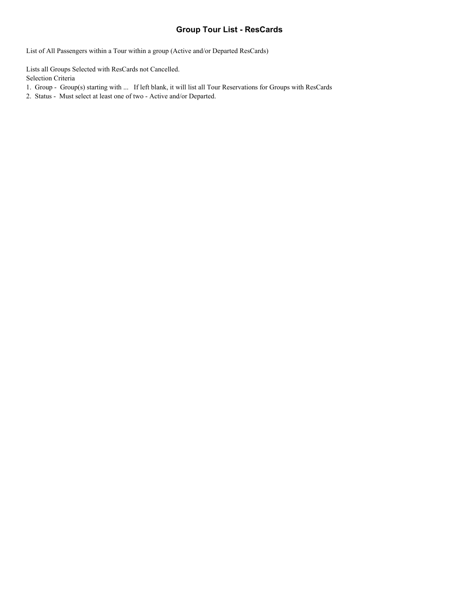#### **Group Tour List - ResCards**

List of All Passengers within a Tour within a group (Active and/or Departed ResCards)

Lists all Groups Selected with ResCards not Cancelled. Selection Criteria

- 1. Group Group(s) starting with ... If left blank, it will list all Tour Reservations for Groups with ResCards
- 2. Status Must select at least one of two Active and/or Departed.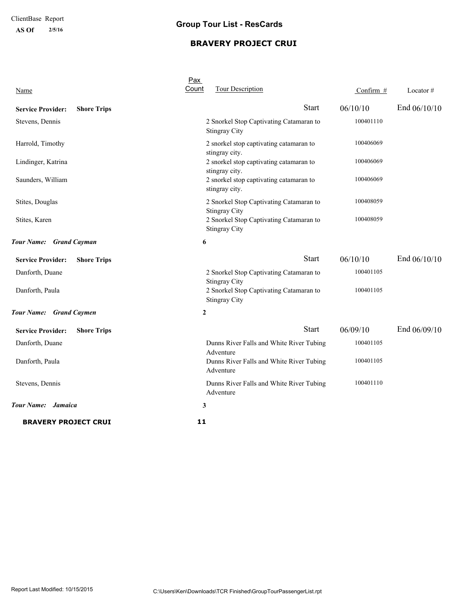**AS Of 2/5/16**

# **Group Tour List - ResCards**

### **BRAVERY PROJECT CRUI**

| Name                                           | Pax<br>Count<br><b>Tour Description</b>                         | Confirm # | Locator $#$    |
|------------------------------------------------|-----------------------------------------------------------------|-----------|----------------|
| <b>Shore Trips</b><br><b>Service Provider:</b> | <b>Start</b>                                                    | 06/10/10  | End $06/10/10$ |
| Stevens, Dennis                                | 2 Snorkel Stop Captivating Catamaran to<br><b>Stingray City</b> | 100401110 |                |
| Harrold, Timothy                               | 2 snorkel stop captivating catamaran to<br>stingray city.       | 100406069 |                |
| Lindinger, Katrina                             | 2 snorkel stop captivating catamaran to<br>stingray city.       | 100406069 |                |
| Saunders, William                              | 2 snorkel stop captivating catamaran to<br>stingray city.       | 100406069 |                |
| Stites, Douglas                                | 2 Snorkel Stop Captivating Catamaran to<br><b>Stingray City</b> | 100408059 |                |
| Stites, Karen                                  | 2 Snorkel Stop Captivating Catamaran to<br><b>Stingray City</b> | 100408059 |                |
| Tour Name: Grand Cayman                        | 6                                                               |           |                |
| <b>Shore Trips</b><br><b>Service Provider:</b> | <b>Start</b>                                                    | 06/10/10  | End $06/10/10$ |
| Danforth, Duane                                | 2 Snorkel Stop Captivating Catamaran to<br><b>Stingray City</b> | 100401105 |                |
| Danforth, Paula                                | 2 Snorkel Stop Captivating Catamaran to<br><b>Stingray City</b> | 100401105 |                |
| Tour Name: Grand Caymen                        | 2                                                               |           |                |
| <b>Service Provider:</b><br><b>Shore Trips</b> | <b>Start</b>                                                    | 06/09/10  | End 06/09/10   |
| Danforth, Duane                                | Dunns River Falls and White River Tubing<br>Adventure           | 100401105 |                |
| Danforth, Paula                                | Dunns River Falls and White River Tubing<br>Adventure           | 100401105 |                |
| Stevens, Dennis                                | Dunns River Falls and White River Tubing<br>Adventure           | 100401110 |                |
| Tour Name: Jamaica                             | 3                                                               |           |                |
| <b>BRAVERY PROJECT CRUI</b>                    | 11                                                              |           |                |